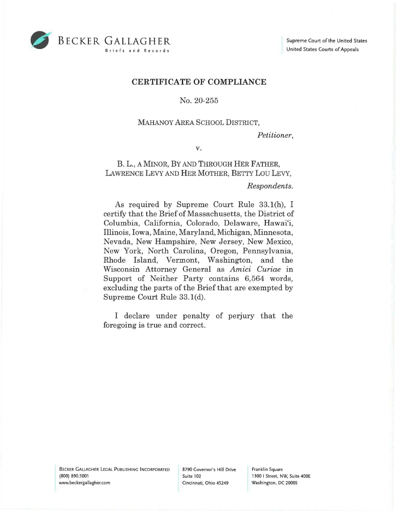

### **CERTIFICATE OF COMPLIANCE**

#### No. 20-255

## MAHANOY AREA SCHOOL DISTRICT,

*Petitioner,* 

**V.** 

# B. L., A MINOR, BY AND THROUGH HER FATHER, LAWRENCE LEVY AND HER MOTHER, BETTY Lou LEVY,

#### *Respondents.*

As required by Supreme Court Rule 33.1(h), I certify that the Brief of Massachusetts, the District of Columbia, California, Colorado, Delaware, Hawai'i, Illinois, Iowa, Maine, Maryland, Michigan, Minnesota, Nevada, New Hampshire, New Jersey, New Mexico, New York, North Carolina, Oregon, Pennsylvania, Rhode Island, Vermont, Washington, and the Wisconsin Attorney General as *Amici Curiae* in Support of Neither Party contains 6,564 words, excluding the parts of the Brief that are exempted by Supreme Court Rule 33. l(d).

I declare under penalty of perjury that the foregoing is true and correct.

Franklin Square 1300 I Street, NW, Suite 400E Washington, DC 20005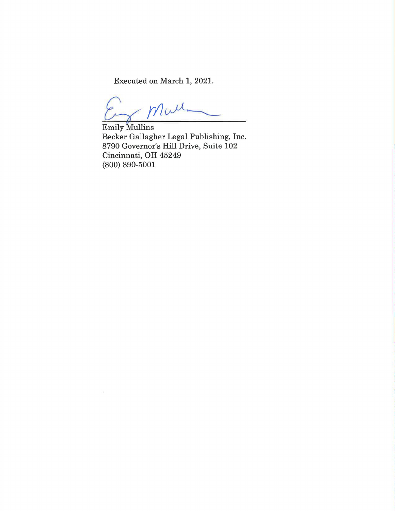Executed on March 1, 2021.

 $M\nu$ 

Emily Mullins Becker Gallagher Legal Publishing, Inc. 8790 Governor's Hill Drive, Suite 102 Cincinnati, OH 45249 (800) 890-5001

 $\mu$